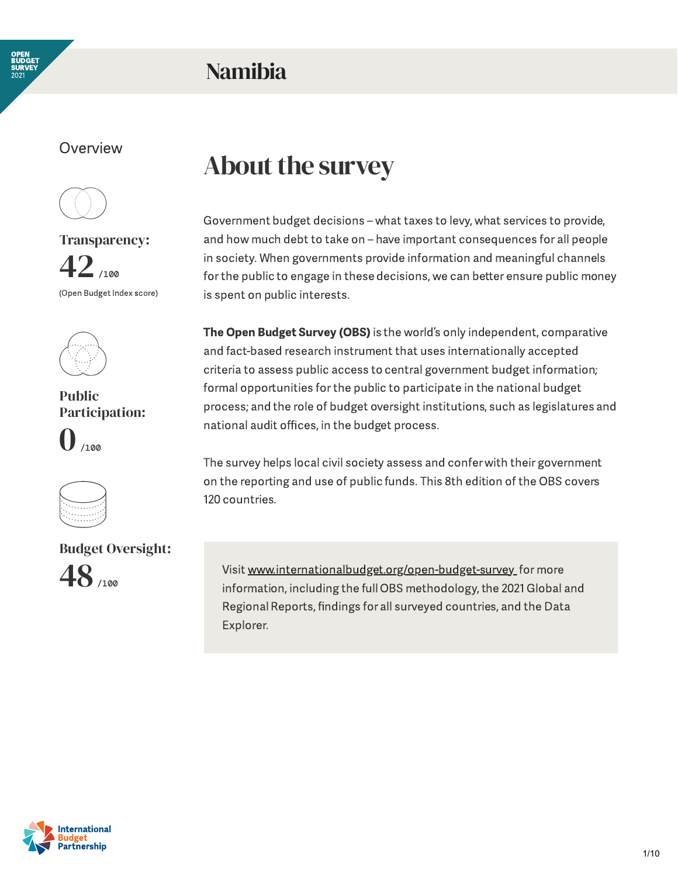

### Namibia

#### **Overview**



Transparency:  $42$ <sub>1100</sub> (Open Budget Index score)



Public Participation:  $\bigcap_{100}$ 



Budget Oversight: 48

### About the survey

Government budget decisions – what taxes to levy, what services to provide, and how much debt to take on – have important consequences for all people in society. When governments provide information and meaningful channels for the public to engage in these decisions, we can better ensure public money is spent on public interests.

The Open Budget Survey (OBS) is the world's only independent, comparative and fact-based research instrument that uses internationally accepted criteria to assess public access to central government budget information; formal opportunities forthe public to participate in the national budget process; and the role of budget oversight institutions, such as legislatures and national audit offices, in the budget process.

The survey helps local civil society assess and confer with their government on the reporting and use of public funds. This 8th edition of the OBS covers 120 countries.

Visit [www.internationalbudget.org/open-budget-survey](http://www.openbudgetsurvey.org/) for more information, including the full OBS methodology, the 2021 Global and Regional Reports, findings for all surveyed countries, and the Data Explorer.

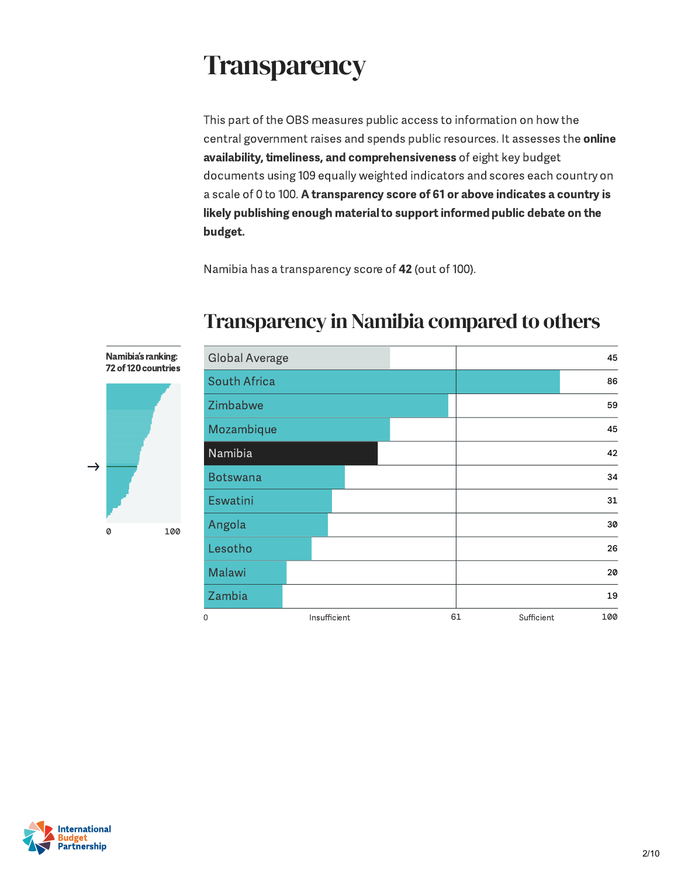## **Transparency**

This part of the OBS measures public access to information on how the central government raises and spends public resources. It assesses the online availability, timeliness, and comprehensiveness of eight key budget documents using 109 equally weighted indicators and scores each country on a scale of 0 to 100. A transparency score of 61 or above indicates a country is likely publishing enough material to support informed public debate on the budget.

Namibia has a transparency score of 42 (out of 100).



#### Transparency in Namibia compared to others



 $\rightarrow$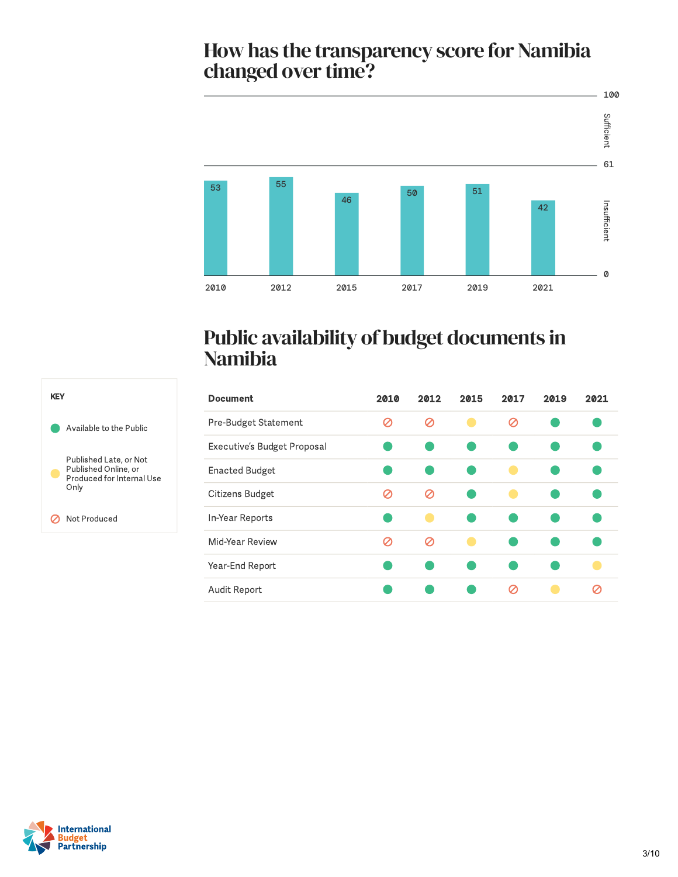# How has the transparency score for Namibia<br>changed over time?



#### Public availability of budget documents in Namibia

| <b>Document</b>             | 2010 | 2012 | 2015 | 2017 | 2019 | 2021 |
|-----------------------------|------|------|------|------|------|------|
| Pre-Budget Statement        | Ø    | Ø    |      | Ø    |      |      |
| Executive's Budget Proposal |      |      |      |      |      |      |
| <b>Enacted Budget</b>       |      |      |      |      |      |      |
| Citizens Budget             | σ    | Ø    |      |      |      |      |
| In-Year Reports             |      |      |      |      |      |      |
| Mid-Year Review             | Ø    | Ø    |      |      |      |      |
| Year-End Report             |      |      |      |      |      |      |
| Audit Report                |      |      |      | Ø    |      |      |



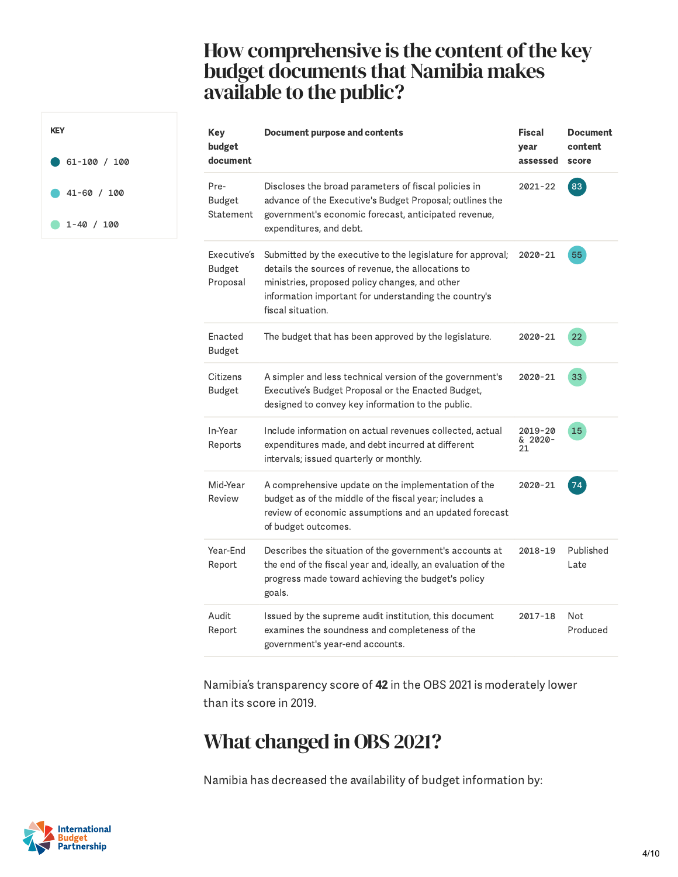#### How comprehensive is the content of the key budget documents that Namibia makes available to the public?

| <b>KFY</b>       |
|------------------|
| $61 - 100 / 100$ |
| $-41 - 60 / 100$ |
| $1 - 40 / 100$   |

| <b>Key</b><br>budget<br>document         | <b>Document purpose and contents</b>                                                                                                                                                                                                              | <b>Fiscal</b><br>year<br>assessed | <b>Document</b><br>content<br>score |
|------------------------------------------|---------------------------------------------------------------------------------------------------------------------------------------------------------------------------------------------------------------------------------------------------|-----------------------------------|-------------------------------------|
| Pre-<br>Budget<br>Statement              | Discloses the broad parameters of fiscal policies in<br>advance of the Executive's Budget Proposal; outlines the<br>government's economic forecast, anticipated revenue,<br>expenditures, and debt.                                               | $2021 - 22$                       | 83                                  |
| Executive's<br><b>Budget</b><br>Proposal | Submitted by the executive to the legislature for approval;<br>details the sources of revenue, the allocations to<br>ministries, proposed policy changes, and other<br>information important for understanding the country's<br>fiscal situation. | $2020 - 21$                       | 55                                  |
| Enacted<br>Budget                        | The budget that has been approved by the legislature.                                                                                                                                                                                             | 2020-21                           | 22                                  |
| Citizens<br><b>Budget</b>                | A simpler and less technical version of the government's<br>Executive's Budget Proposal or the Enacted Budget,<br>designed to convey key information to the public.                                                                               | 2020-21                           | 33                                  |
| In-Year<br>Reports                       | Include information on actual revenues collected, actual<br>expenditures made, and debt incurred at different<br>intervals; issued quarterly or monthly.                                                                                          | 2019-20<br>& 2020-<br>21          | 15                                  |
| Mid-Year<br>Review                       | A comprehensive update on the implementation of the<br>budget as of the middle of the fiscal year; includes a<br>review of economic assumptions and an updated forecast<br>of budget outcomes.                                                    | $2020 - 21$                       | 74                                  |
| Year-End<br>Report                       | Describes the situation of the government's accounts at<br>the end of the fiscal year and, ideally, an evaluation of the<br>progress made toward achieving the budget's policy<br>goals.                                                          | 2018-19                           | Published<br>Late                   |
| Audit<br>Report                          | Issued by the supreme audit institution, this document<br>examines the soundness and completeness of the<br>government's year-end accounts.                                                                                                       | $2017 - 18$                       | <b>Not</b><br>Produced              |

Namibia's transparency score of 42 in the OBS 2021 is moderately lower than its score in 2019.

#### What changed in OBS 2021?

Namibia has decreased the availability of budget information by:

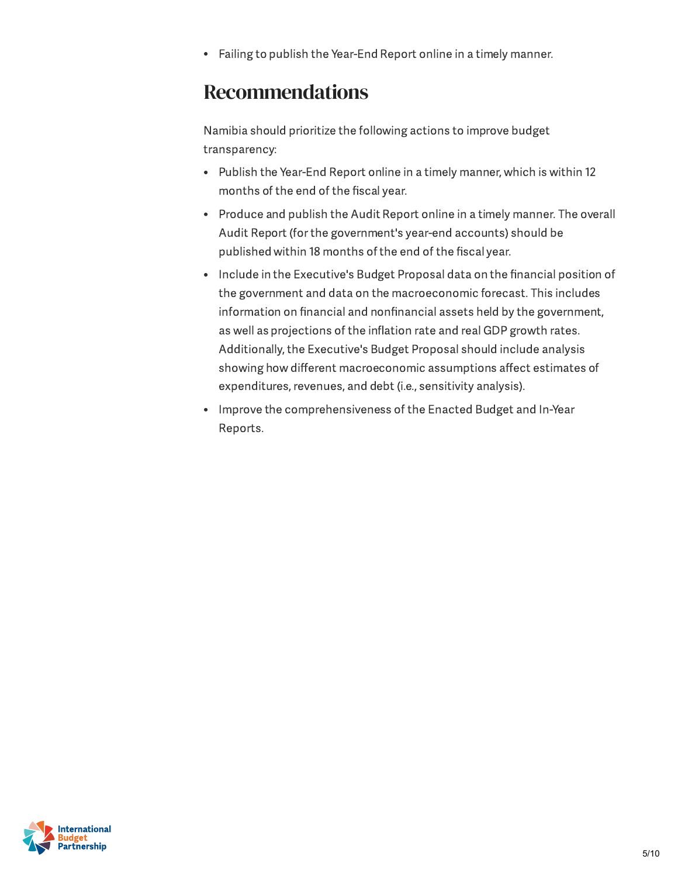Failing to publish the Year-End Report online in a timely manner.  $\bullet$ 

#### Recommendations

Namibia should prioritize the following actions to improve budget transparency:

- Publish the Year-End Report online in a timely manner, which is within 12 months of the end of the fiscal year.
- Produce and publish the Audit Report online in a timely manner. The overall Audit Report (forthe government's year-end accounts) should be published within 18 months of the end of the fiscal year.
- Include in the Executive's Budget Proposal data on the financial position of the government and data on the macroeconomic forecast. This includes information on financial and nonfinancial assets held by the government, as well as projections of the inflation rate and real GDP growth rates. Additionally, the Executive's Budget Proposal should include analysis showing how different macroeconomic assumptions affect estimates of expenditures, revenues, and debt (i.e., sensitivity analysis).
- Improve the comprehensiveness of the Enacted Budget and In-Year Reports.

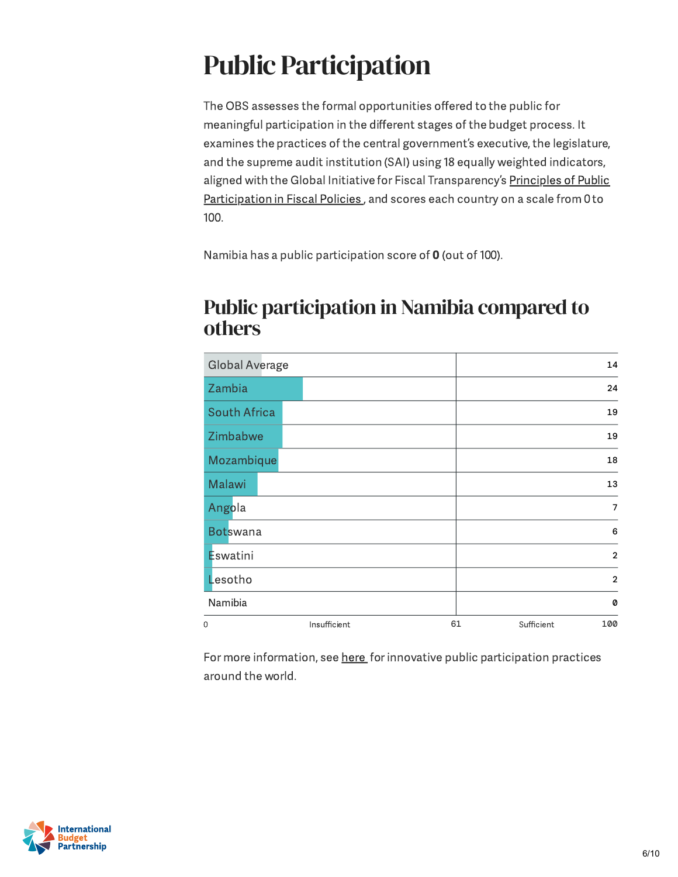# Public Participation

The OBS assesses the formal opportunities offered to the public for meaningful participation in the different stages of the budget process. It examines the practices of the central government's executive, the legislature, and the supreme audit institution (SAI) using 18 equally weighted indicators, aligned with the Global Initiative for Fiscal [Transparency](https://fiscaltransparency.net/public-participation-principles-and-guide/) 's Principles of Public Participation in Fiscal Policies, and scores each country on a scale from 0 to 100.

Namibia has a public participation score of 0 (out of 100).

#### Public participation in Namibia compared to others

| <b>Global Average</b> |              | 14                      |
|-----------------------|--------------|-------------------------|
| Zambia                |              | 24                      |
| <b>South Africa</b>   |              | 19                      |
| Zimbabwe              |              | 19                      |
| Mozambique            |              | 18                      |
| Malawi                |              | 13                      |
| Angola                |              | $\overline{7}$          |
| <b>Botswana</b>       |              | 6                       |
| Eswatini              |              | $\overline{2}$          |
| Lesotho               |              | $\overline{2}$          |
| Namibia               |              | Ø                       |
| 0                     | Insufficient | 61<br>100<br>Sufficient |

For more information, see [here](https://www.fiscaltransparency.net/case-studies/) for innovative public participation practices around the world.

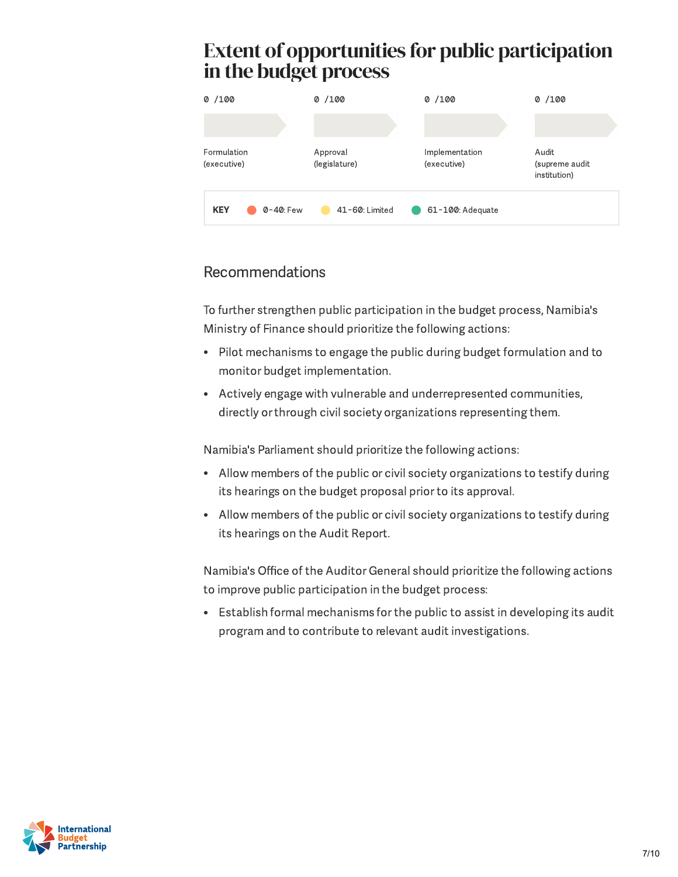# in the budget process



#### Recommendations

To further strengthen public participation in the budget process, Namibia's Ministry of Finance should prioritize the following actions:

- Pilot mechanisms to engage the public during budget formulation and to monitor budget implementation.
- Actively engage with vulnerable and underrepresented communities, directly or through civil society organizations representing them.

Namibia's Parliament should prioritize the following actions:

- Allow members of the public or civil society organizations to testify during its hearings on the budget proposal priorto its approval.
- Allow members of the public or civil society organizations to testify during its hearings on the Audit Report.

Namibia's Office of the Auditor General should prioritize the following actions to improve public participation in the budget process:

Establish formal mechanisms forthe public to assist in developing its audit program and to contribute to relevant audit investigations.

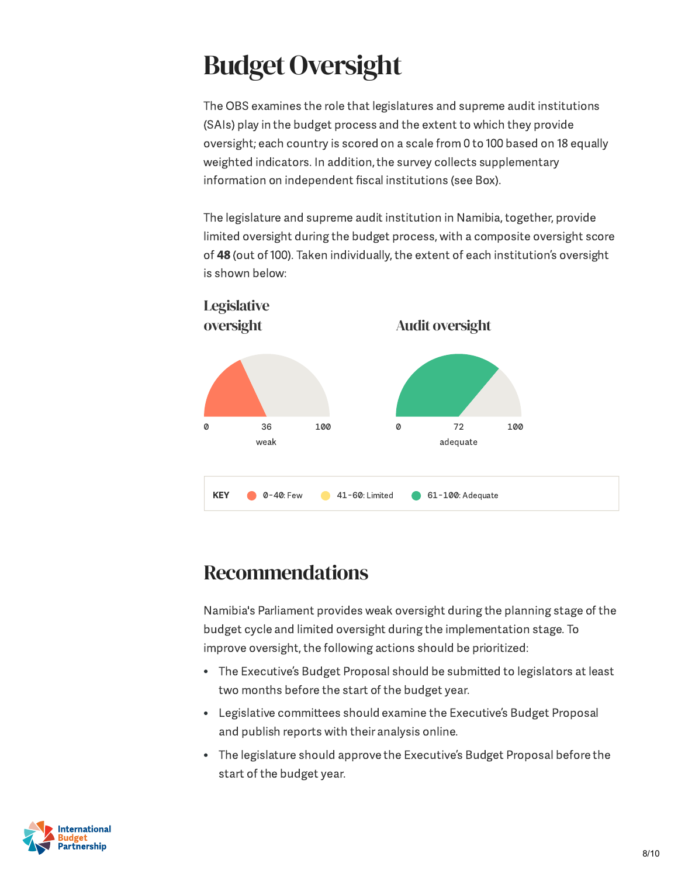# **Budget Oversight**

The OBS examines the role that legislatures and supreme audit institutions (SAIs) play in the budget process and the extent to which they provide oversight; each country is scored on a scale from 0 to 100 based on 18 equally weighted indicators. In addition, the survey collects supplementary information on independent fiscal institutions (see Box).

The legislature and supreme audit institution in Namibia, together, provide limited oversight during the budget process, with a composite oversight score of 48 (out of 100). Taken individually, the extent of each institution's oversight is shown below:



#### Recommendations

Namibia's Parliament provides weak oversight during the planning stage of the budget cycle and limited oversight during the implementation stage. To improve oversight, the following actions should be prioritized:

- The Executive's Budget Proposal should be submitted to legislators at least two months before the start of the budget year.
- Legislative committees should examine the Executive's Budget Proposal and publish reports with their analysis online.
- The legislature should approve the Executive ' s Budget Proposal before the start of the budget year.

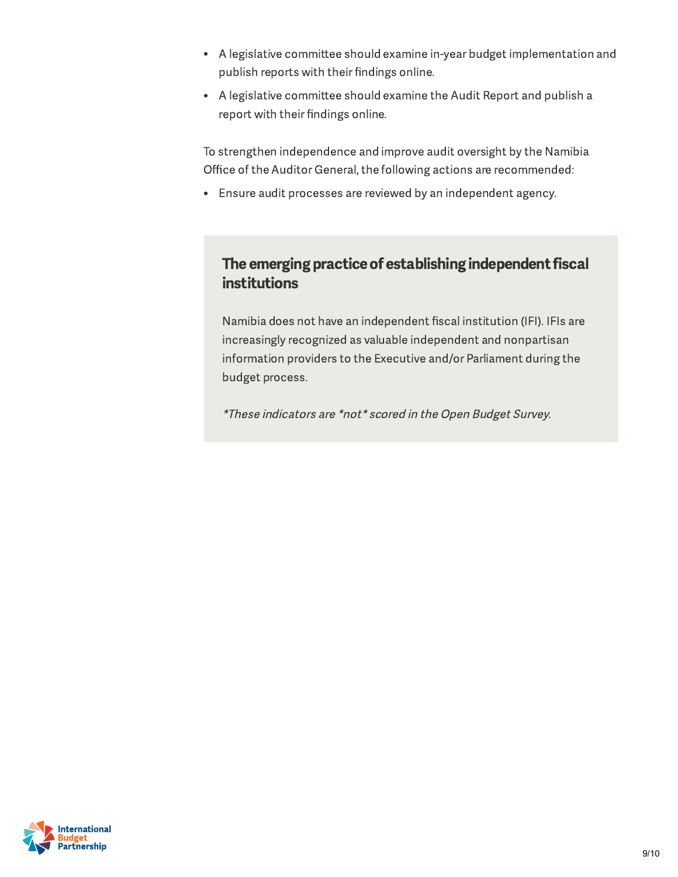- A legislative committee should examine in-year budget implementation and publish reports with their findings online.
- A legislative committee should examine the Audit Report and publish a report with their findings online.

To strengthen independence and improve audit oversight by the Namibia Office of the Auditor General, the following actions are recommended:

Ensure audit processes are reviewed by an independent agency.

#### The emerging practice of establishing independent fiscal institutions

Namibia does not have an independent fiscal institution (IFI). IFIs are increasingly recognized as valuable independent and nonpartisan information providers to the Executive and/or Parliament during the budget process.

\*These indicators are \*not\* scored in the Open Budget Survey.